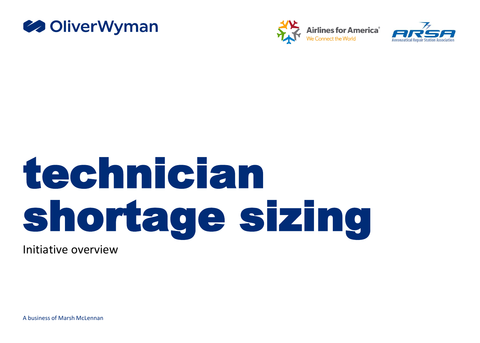





# technician shortage sizing

Initiative overview

A business of Marsh McLennan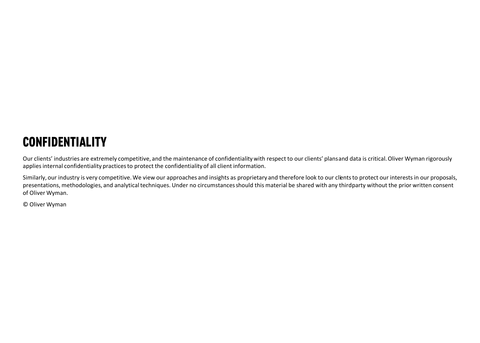# **CONFIDENTIALITY**

Our clients' industries are extremely competitive, and the maintenance of confidentiality with respect to our clients' plans and data is critical. Oliver Wyman rigorously applies internal confidentiality practices to protect the confidentiality of all client information.

Similarly, our industry is very competitive. We view our approaches and insights as proprietary and therefore look to our clients to protect our interests in our proposals, presentations, methodologies, and analytical techniques. Under no circumstances should this material be shared with any thirdparty without the prior written consent of Oliver Wyman.

© Oliver Wyman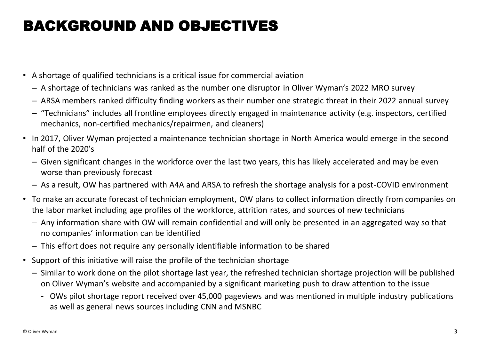# BACKGROUND AND OBJECTIVES

- A shortage of qualified technicians is a critical issue for commercial aviation
	- A shortage of technicians was ranked as the number one disruptor in Oliver Wyman's 2022 MRO survey
	- ARSA members ranked difficulty finding workers as their number one strategic threat in their 2022 annual survey
	- "Technicians" includes all frontline employees directly engaged in maintenance activity (e.g. inspectors, certified mechanics, non-certified mechanics/repairmen, and cleaners)
- In 2017, Oliver Wyman projected a maintenance technician shortage in North America would emerge in the second half of the 2020's
	- Given significant changes in the workforce over the last two years, this has likely accelerated and may be even worse than previously forecast
	- As a result, OW has partnered with A4A and ARSA to refresh the shortage analysis for a post-COVID environment
- To make an accurate forecast of technician employment, OW plans to collect information directly from companies on the labor market including age profiles of the workforce, attrition rates, and sources of new technicians
	- Any information share with OW will remain confidential and will only be presented in an aggregated way so that no companies' information can be identified
	- This effort does not require any personally identifiable information to be shared
- Support of this initiative will raise the profile of the technician shortage
	- Similar to work done on the pilot shortage last year, the refreshed technician shortage projection will be published on Oliver Wyman's website and accompanied by a significant marketing push to draw attention to the issue
		- OWs pilot shortage report received over 45,000 pageviews and was mentioned in multiple industry publications as well as general news sources including CNN and MSNBC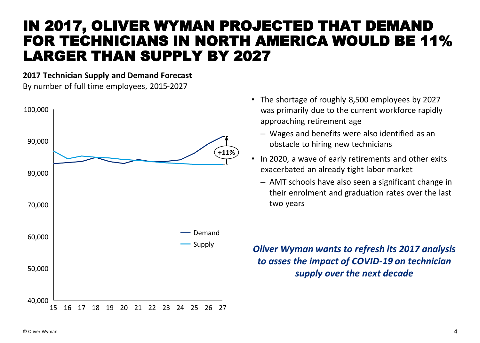# IN 2017, OLIVER WYMAN PROJECTED THAT DEMAND FOR TECHNICIANS IN NORTH AMERICA WOULD BE 11% LARGER THAN SUPPLY BY 2027

#### **2017 Technician Supply and Demand Forecast**

By number of full time employees, 2015-2027



- The shortage of roughly 8,500 employees by 2027 was primarily due to the current workforce rapidly approaching retirement age
	- Wages and benefits were also identified as an obstacle to hiring new technicians
- In 2020, a wave of early retirements and other exits exacerbated an already tight labor market
	- AMT schools have also seen a significant change in their enrolment and graduation rates over the last two years

*Oliver Wyman wants to refresh its 2017 analysis to asses the impact of COVID-19 on technician supply over the next decade*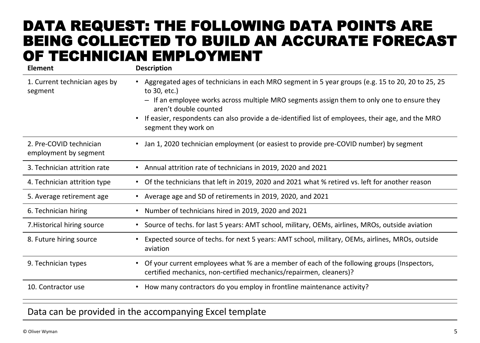## DATA REQUEST: THE FOLLOWING DATA POINTS ARE BEING COLLECTED TO BUILD AN ACCURATE FORECAST OF TECHNICIAN EMPLOYMENT

| <b>Element</b>                                   | <b>Description</b>                                                                                                                                                                                                                                                                                                                                                                |
|--------------------------------------------------|-----------------------------------------------------------------------------------------------------------------------------------------------------------------------------------------------------------------------------------------------------------------------------------------------------------------------------------------------------------------------------------|
| 1. Current technician ages by<br>segment         | Aggregated ages of technicians in each MRO segment in 5 year groups (e.g. 15 to 20, 20 to 25, 25<br>to 30, etc.)<br>- If an employee works across multiple MRO segments assign them to only one to ensure they<br>aren't double counted<br>If easier, respondents can also provide a de-identified list of employees, their age, and the MRO<br>$\bullet$<br>segment they work on |
| 2. Pre-COVID technician<br>employment by segment | Jan 1, 2020 technician employment (or easiest to provide pre-COVID number) by segment<br>$\bullet$                                                                                                                                                                                                                                                                                |
| 3. Technician attrition rate                     | Annual attrition rate of technicians in 2019, 2020 and 2021<br>$\bullet$                                                                                                                                                                                                                                                                                                          |
| 4. Technician attrition type                     | Of the technicians that left in 2019, 2020 and 2021 what % retired vs. left for another reason<br>$\bullet$                                                                                                                                                                                                                                                                       |
| 5. Average retirement age                        | Average age and SD of retirements in 2019, 2020, and 2021                                                                                                                                                                                                                                                                                                                         |
| 6. Technician hiring                             | Number of technicians hired in 2019, 2020 and 2021<br>$\bullet$                                                                                                                                                                                                                                                                                                                   |
| 7. Historical hiring source                      | Source of techs. for last 5 years: AMT school, military, OEMs, airlines, MROs, outside aviation<br>$\bullet$                                                                                                                                                                                                                                                                      |
| 8. Future hiring source                          | Expected source of techs. for next 5 years: AMT school, military, OEMs, airlines, MROs, outside<br>$\bullet$<br>aviation                                                                                                                                                                                                                                                          |
| 9. Technician types                              | Of your current employees what % are a member of each of the following groups (Inspectors,<br>$\bullet$<br>certified mechanics, non-certified mechanics/repairmen, cleaners)?                                                                                                                                                                                                     |
| 10. Contractor use                               | How many contractors do you employ in frontline maintenance activity?<br>$\bullet$                                                                                                                                                                                                                                                                                                |

#### Data can be provided in the accompanying Excel template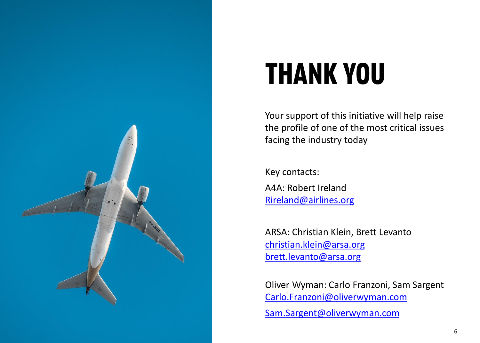

# **THANK YOU**

Your support of this initiative will help raise the profile of one of the most critical issues facing the industry today

Key contacts:

A4A: Robert Ireland [Rireland@airlines.org](mailto:Rireland@airlines.org)

ARSA: Christian Klein, Brett Levanto [christian.klein@arsa.org](mailto:christian.klein@arsa.org) brett.levanto@arsa.org

Oliver Wyman: Carlo Franzoni, Sam Sargent [Carlo.Franzoni@oliverwyman.com](mailto:Carlo.Franzoni@oliverwyman.com)

Sam.Sargent@oliverwyman.com